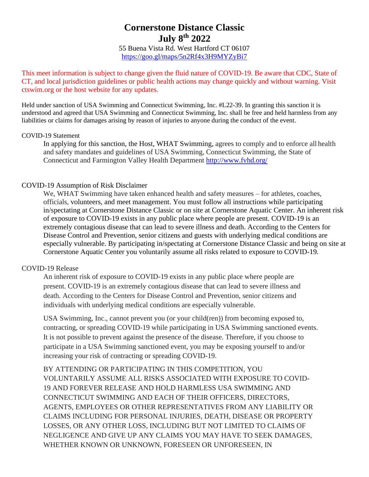# **Cornerstone Distance Classic July 8th 2022**

55 Buena Vista Rd. West Hartford CT 06107 <https://goo.gl/maps/5n2Rf4x3H9MYZyBi7>

This meet information is subject to change given the fluid nature of COVID-19. Be aware that CDC, State of CT, and local jurisdiction guidelines or public health actions may change quickly and without warning. Visit ctswim.org or the host website for any updates.

Held under sanction of USA Swimming and Connecticut Swimming, Inc. #L22-39. In granting this sanction it is understood and agreed that USA Swimming and Connecticut Swimming, Inc. shall be free and held harmless from any liabilities or claims for damages arising by reason of injuries to anyone during the conduct of the event.

#### COVID-19 Statement

In applying for this sanction, the Host, WHAT Swimming, agrees to comply and to enforce all health and safety mandates and guidelines of USA Swimming, Connecticut Swimming, the State of Connecticut and Farmington Valley Health Department<http://www.fvhd.org/>

### COVID-19 Assumption of Risk Disclaimer

We, WHAT Swimming have taken enhanced health and safety measures – for athletes, coaches, officials, volunteers, and meet management. You must follow all instructions while participating in/spectating at Cornerstone Distance Classic or on site at Cornerstone Aquatic Center. An inherent risk of exposure to COVID-19 exists in any public place where people are present. COVID-19 is an extremely contagious disease that can lead to severe illness and death. According to the Centers for Disease Control and Prevention, senior citizens and guests with underlying medical conditions are especially vulnerable. By participating in/spectating at Cornerstone Distance Classic and being on site at Cornerstone Aquatic Center you voluntarily assume all risks related to exposure to COVID-19.

#### COVID-19 Release

An inherent risk of exposure to COVID-19 exists in any public place where people are present. COVID-19 is an extremely contagious disease that can lead to severe illness and death. According to the Centers for Disease Control and Prevention, senior citizens and individuals with underlying medical conditions are especially vulnerable.

USA Swimming, Inc., cannot prevent you (or your child(ren)) from becoming exposed to, contracting, or spreading COVID-19 while participating in USA Swimming sanctioned events. It is not possible to prevent against the presence of the disease. Therefore, if you choose to participate in a USA Swimming sanctioned event, you may be exposing yourself to and/or increasing your risk of contracting or spreading COVID-19.

BY ATTENDING OR PARTICIPATING IN THIS COMPETITION, YOU VOLUNTARILY ASSUME ALL RISKS ASSOCIATED WITH EXPOSURE TO COVID-19 AND FOREVER RELEASE AND HOLD HARMLESS USA SWIMMING AND CONNECTICUT SWIMMING AND EACH OF THEIR OFFICERS, DIRECTORS, AGENTS, EMPLOYEES OR OTHER REPRESENTATIVES FROM ANY LIABILITY OR CLAIMS INCLUDING FOR PERSONAL INJURIES, DEATH, DISEASE OR PROPERTY LOSSES, OR ANY OTHER LOSS, INCLUDING BUT NOT LIMITED TO CLAIMS OF NEGLIGENCE AND GIVE UP ANY CLAIMS YOU MAY HAVE TO SEEK DAMAGES, WHETHER KNOWN OR UNKNOWN, FORESEEN OR UNFORESEEN, IN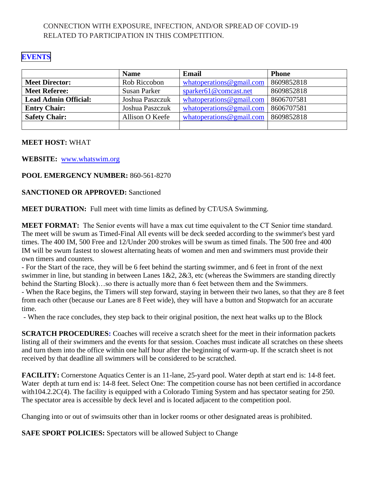## CONNECTION WITH EXPOSURE, INFECTION, AND/OR SPREAD OF COVID-19 RELATED TO PARTICIPATION IN THIS COMPETITION.

### **[EVENTS](#page-6-0)**

|                             | <b>Name</b>     | <b>Email</b>                  | <b>Phone</b> |
|-----------------------------|-----------------|-------------------------------|--------------|
| <b>Meet Director:</b>       | Rob Riccobon    | what operations $@$ gmail.com | 8609852818   |
| <b>Meet Referee:</b>        | Susan Parker    | sparker61@comcast.net         | 8609852818   |
| <b>Lead Admin Official:</b> | Joshua Paszczuk | what operations $@$ gmail.com | 8606707581   |
| <b>Entry Chair:</b>         | Joshua Paszczuk | what operations $@$ gmail.com | 8606707581   |
| <b>Safety Chair:</b>        | Allison O Keefe | what operations $@$ gmail.com | 8609852818   |
|                             |                 |                               |              |

### **MEET HOST:** WHAT

**WEBSITE:** [www.whatswim.org](http://www.whatswim.org/)

### **POOL EMERGENCY NUMBER:** 860-561-8270

### **SANCTIONED OR APPROVED:** Sanctioned

**MEET DURATION:** Full meet with time limits as defined by CT/USA Swimming.

**MEET FORMAT:** The Senior events will have a max cut time equivalent to the CT Senior time standard. The meet will be swum as Timed-Final All events will be deck seeded according to the swimmer's best yard times. The 400 IM, 500 Free and 12/Under 200 strokes will be swum as timed finals. The 500 free and 400 IM will be swum fastest to slowest alternating heats of women and men and swimmers must provide their own timers and counters.

- For the Start of the race, they will be 6 feet behind the starting swimmer, and 6 feet in front of the next swimmer in line, but standing in between Lanes 1&2, 2&3, etc (whereas the Swimmers are standing directly behind the Starting Block)…so there is actually more than 6 feet between them and the Swimmers.

- When the Race begins, the Timers will step forward, staying in between their two lanes, so that they are 8 feet from each other (because our Lanes are 8 Feet wide), they will have a button and Stopwatch for an accurate time.

- When the race concludes, they step back to their original position, the next heat walks up to the Block

**SCRATCH PROCEDURES:** Coaches will receive a scratch sheet for the meet in their information packets listing all of their swimmers and the events for that session. Coaches must indicate all scratches on these sheets and turn them into the office within one half hour after the beginning of warm-up. If the scratch sheet is not received by that deadline all swimmers will be considered to be scratched.

**FACILITY:** Cornerstone Aquatics Center is an 11-lane, 25-yard pool. Water depth at start end is: 14-8 feet. Water depth at turn end is: 14-8 feet. Select One: The competition course has not been certified in accordance with104.2.2C(4). The facility is equipped with a Colorado Timing System and has spectator seating for 250. The spectator area is accessible by deck level and is located adjacent to the competition pool.

Changing into or out of swimsuits other than in locker rooms or other designated areas is prohibited.

**SAFE SPORT POLICIES:** Spectators will be allowed Subject to Change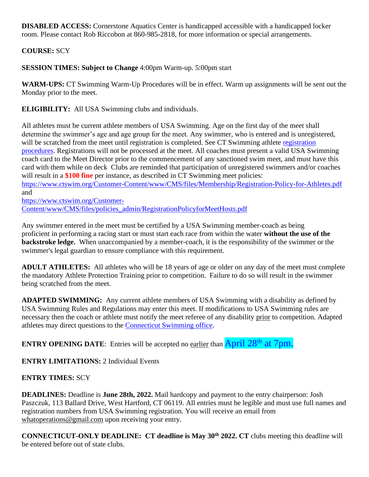**DISABLED ACCESS:** Cornerstone Aquatics Center is handicapped accessible with a handicapped locker room. Please contact Rob Riccobon at 860-985-2818, for more information or special arrangements.

## **COURSE:** SCY

**SESSION TIMES: Subject to Change** 4:00pm Warm-up. 5:00pm start

**WARM-UPS:** CT Swimming Warm-Up Procedures will be in effect. Warm up assignments will be sent out the Monday prior to the meet.

**ELIGIBILITY:** All USA Swimming clubs and individuals.

All athletes must be current athlete members of USA Swimming. Age on the first day of the meet shall determine the swimmer's age and age group for the meet. Any swimmer, who is entered and is unregistered, will be scratched from the meet until [registration](https://www.ctswim.org/Membership/Athletes/) is completed. See CT Swimming athlete registration [procedures.](https://www.ctswim.org/Membership/Athletes/) Registrations will not be processed at the meet. All coaches must present a valid USA Swimming coach card to the Meet Director prior to the commencement of any sanctioned swim meet, and must have this card with them while on deck Clubs are reminded that participation of unregistered swimmers and/or coaches will result in a **\$100 fine** per instance, as described in CT Swimming meet policies:

<https://www.ctswim.org/Customer-Content/www/CMS/files/Membership/Registration-Policy-for-Athletes.pdf> and

[https://www.ctswim.org/Customer-](https://www.ctswim.org/Customer-Content/www/CMS/files/policies_admin/RegistrationPolicyforMeetHosts.pdf)[Content/www/CMS/files/policies\\_admin/RegistrationPolicyforMeetHosts.pdf](https://www.ctswim.org/Customer-Content/www/CMS/files/policies_admin/RegistrationPolicyforMeetHosts.pdf)

Any swimmer entered in the meet must be certified by a USA Swimming member-coach as being proficient in performing a racing start or must start each race from within the water **without the use of the backstroke ledge.** When unaccompanied by a member-coach, it is the responsibility of the swimmer or the swimmer's legal guardian to ensure compliance with this requirement.

**ADULT ATHLETES:** All athletes who will be 18 years of age or older on any day of the meet must complete the mandatory Athlete Protection Training prior to competition. Failure to do so will result in the swimmer being scratched from the meet.

**ADAPTED SWIMMING:** Any current athlete members of USA Swimming with a disability as defined by USA Swimming Rules and Regulations may enter this meet. If modifications to USA Swimming rules are necessary then the coach or athlete must notify the meet referee of any disability prior to competition. Adapted athletes may direct questions to the [Connecticut Swimming office.](mailto:office@ctswim.org)

**ENTRY OPENING DATE:** Entries will be accepted no earlier than **April 28<sup>th</sup> at 7pm.** 

**ENTRY LIMITATIONS:** 2 Individual Events

## **ENTRY TIMES:** SCY

**DEADLINES:** Deadline is **June 28th, 2022.** Mail hardcopy and payment to the entry chairperson: Josh Paszczuk, 113 Ballard Drive, West Hartford, CT 06119. All entries must be legible and must use full names and registration numbers from USA Swimming registration. You will receive an email from [whatoperations@gmail.com](mailto:whatoperations@gmail.com) upon receiving your entry.

**CONNECTICUT-ONLY DEADLINE: CT deadline is May 30th 2022. CT** clubs meeting this deadline will be entered before out of state clubs.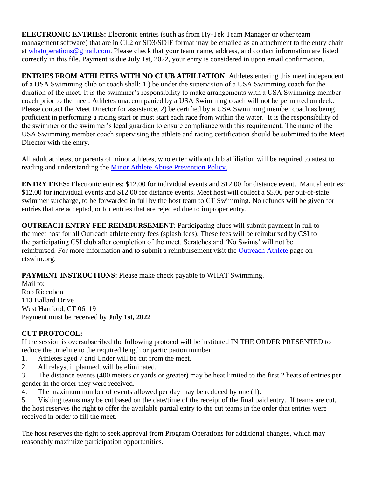**ELECTRONIC ENTRIES:** Electronic entries (such as from Hy-Tek Team Manager or other team management software) that are in CL2 or SD3/SDIF format may be emailed as an attachment to the entry chair at [whatoperations@gmail.com.](mailto:whatoperations@gmail.com) Please check that your team name, address, and contact information are listed correctly in this file. Payment is due July 1st, 2022, your entry is considered in upon email confirmation.

**ENTRIES FROM ATHLETES WITH NO CLUB AFFILIATION**: Athletes entering this meet independent of a USA Swimming club or coach shall: 1.) be under the supervision of a USA Swimming coach for the duration of the meet. It is the swimmer's responsibility to make arrangements with a USA Swimming member coach prior to the meet. Athletes unaccompanied by a USA Swimming coach will not be permitted on deck. Please contact the Meet Director for assistance. 2) be certified by a USA Swimming member coach as being proficient in performing a racing start or must start each race from within the water. It is the responsibility of the swimmer or the swimmer's legal guardian to ensure compliance with this requirement. The name of the USA Swimming member coach supervising the athlete and racing certification should be submitted to the Meet Director with the entry.

All adult athletes, or parents of minor athletes, who enter without club affiliation will be required to attest to reading and understanding the [Minor Athlete Abuse Prevention Policy.](https://www.usaswimming.org/utility/landing-pages/minor-athlete-abuse-prevention-policy)

**ENTRY FEES:** Electronic entries: \$12.00 for individual events and \$12.00 for distance event. Manual entries: \$12.00 for individual events and \$12.00 for distance events. Meet host will collect a \$5.00 per out-of-state swimmer surcharge, to be forwarded in full by the host team to CT Swimming. No refunds will be given for entries that are accepted, or for entries that are rejected due to improper entry.

**OUTREACH ENTRY FEE REIMBURSEMENT**: Participating clubs will submit payment in full to the meet host for all Outreach athlete entry fees (splash fees). These fees will be reimbursed by CSI to the participating CSI club after completion of the meet. Scratches and 'No Swims' will not be reimbursed. For more information and to submit a reimbursement visit the [Outreach Athlete](https://www.ctswim.org/Membership/Athlete-Outreach/) page on ctswim.org.

**PAYMENT INSTRUCTIONS**: Please make check payable to WHAT Swimming.

Mail to: Rob Riccobon 113 Ballard Drive West Hartford, CT 06119 Payment must be received by **July 1st, 2022**

## **CUT PROTOCOL:**

If the session is oversubscribed the following protocol will be instituted IN THE ORDER PRESENTED to reduce the timeline to the required length or participation number:

- 1. Athletes aged 7 and Under will be cut from the meet.
- 2. All relays, if planned, will be eliminated.
- 3. The distance events (400 meters or yards or greater) may be heat limited to the first 2 heats of entries per gender in the order they were received.
- 4. The maximum number of events allowed per day may be reduced by one (1).

5. Visiting teams may be cut based on the date/time of the receipt of the final paid entry. If teams are cut, the host reserves the right to offer the available partial entry to the cut teams in the order that entries were received in order to fill the meet.

The host reserves the right to seek approval from Program Operations for additional changes, which may reasonably maximize participation opportunities.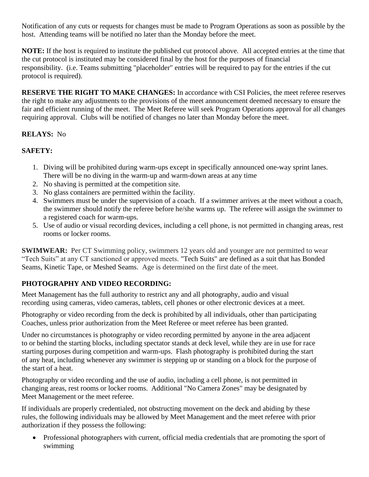Notification of any cuts or requests for changes must be made to Program Operations as soon as possible by the host. Attending teams will be notified no later than the Monday before the meet.

**NOTE:** If the host is required to institute the published cut protocol above. All accepted entries at the time that the cut protocol is instituted may be considered final by the host for the purposes of financial responsibility. (i.e. Teams submitting "placeholder" entries will be required to pay for the entries if the cut protocol is required).

**RESERVE THE RIGHT TO MAKE CHANGES:** In accordance with CSI Policies, the meet referee reserves the right to make any adjustments to the provisions of the meet announcement deemed necessary to ensure the fair and efficient running of the meet. The Meet Referee will seek Program Operations approval for all changes requiring approval. Clubs will be notified of changes no later than Monday before the meet.

### **RELAYS:** No

### **SAFETY:**

- 1. Diving will be prohibited during warm-ups except in specifically announced one-way sprint lanes. There will be no diving in the warm-up and warm-down areas at any time
- 2. No shaving is permitted at the competition site.
- 3. No glass containers are permitted within the facility.
- 4. Swimmers must be under the supervision of a coach. If a swimmer arrives at the meet without a coach, the swimmer should notify the referee before he/she warms up. The referee will assign the swimmer to a registered coach for warm-ups.
- 5. Use of audio or visual recording devices, including a cell phone, is not permitted in changing areas, rest rooms or locker rooms.

**SWIMWEAR:** Per CT Swimming policy, swimmers 12 years old and younger are not permitted to wear "Tech Suits" at any CT sanctioned or approved meets. "Tech Suits" are defined as a suit that has Bonded Seams, Kinetic Tape, or Meshed Seams. Age is determined on the first date of the meet.

## **PHOTOGRAPHY AND VIDEO RECORDING:**

Meet Management has the full authority to restrict any and all photography, audio and visual recording using cameras, video cameras, tablets, cell phones or other electronic devices at a meet.

Photography or video recording from the deck is prohibited by all individuals, other than participating Coaches, unless prior authorization from the Meet Referee or meet referee has been granted.

Under no circumstances is photography or video recording permitted by anyone in the area adjacent to or behind the starting blocks, including spectator stands at deck level, while they are in use for race starting purposes during competition and warm-ups. Flash photography is prohibited during the start of any heat, including whenever any swimmer is stepping up or standing on a block for the purpose of the start of a heat.

Photography or video recording and the use of audio, including a cell phone, is not permitted in changing areas, rest rooms or locker rooms. Additional "No Camera Zones" may be designated by Meet Management or the meet referee.

If individuals are properly credentialed, not obstructing movement on the deck and abiding by these rules, the following individuals may be allowed by Meet Management and the meet referee with prior authorization if they possess the following:

• Professional photographers with current, official media credentials that are promoting the sport of swimming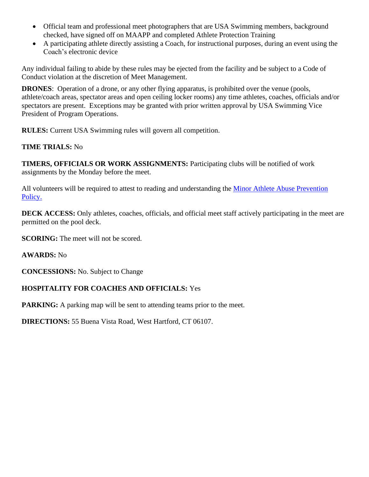- Official team and professional meet photographers that are USA Swimming members, background checked, have signed off on MAAPP and completed Athlete Protection Training
- A participating athlete directly assisting a Coach, for instructional purposes, during an event using the Coach's electronic device

Any individual failing to abide by these rules may be ejected from the facility and be subject to a Code of Conduct violation at the discretion of Meet Management.

**DRONES**: Operation of a drone, or any other flying apparatus, is prohibited over the venue (pools, athlete/coach areas, spectator areas and open ceiling locker rooms) any time athletes, coaches, officials and/or spectators are present. Exceptions may be granted with prior written approval by USA Swimming Vice President of Program Operations.

**RULES:** Current USA Swimming rules will govern all competition.

### **TIME TRIALS:** No

**TIMERS, OFFICIALS OR WORK ASSIGNMENTS:** Participating clubs will be notified of work assignments by the Monday before the meet.

All volunteers will be required to attest to reading and understanding the Minor Athlete Abuse Prevention [Policy.](https://www.usaswimming.org/utility/landing-pages/minor-athlete-abuse-prevention-policy)

**DECK ACCESS:** Only athletes, coaches, officials, and official meet staff actively participating in the meet are permitted on the pool deck.

**SCORING:** The meet will not be scored.

**AWARDS:** No

**CONCESSIONS:** No. Subject to Change

### **HOSPITALITY FOR COACHES AND OFFICIALS:** Yes

**PARKING:** A parking map will be sent to attending teams prior to the meet.

**DIRECTIONS:** 55 Buena Vista Road, West Hartford, CT 06107.